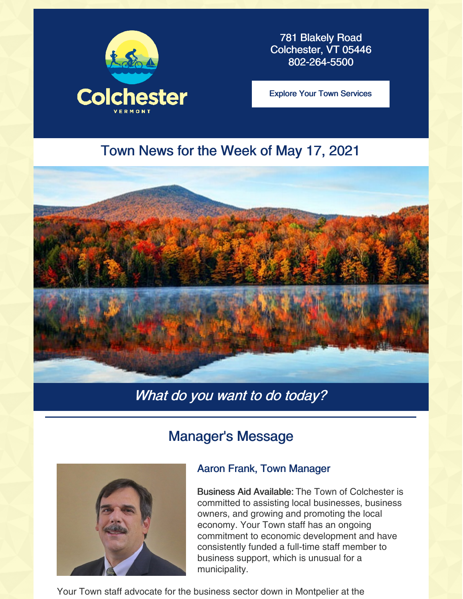

781 Blakely Road Colchester, VT 05446 802-264-5500

Explore Your Town [Services](https://colchestervt.gov/35/Town-Services)

## Town News for the Week of May 17, 2021



## What do you want to do today?

## Manager's Message



#### Aaron Frank, Town Manager

Business Aid Available: The Town of Colchester is committed to assisting local businesses, business owners, and growing and promoting the local economy. Your Town staff has an ongoing commitment to economic development and have consistently funded a full-time staff member to business support, which is unusual for a municipality.

Your Town staff advocate for the business sector down in Montpelier at the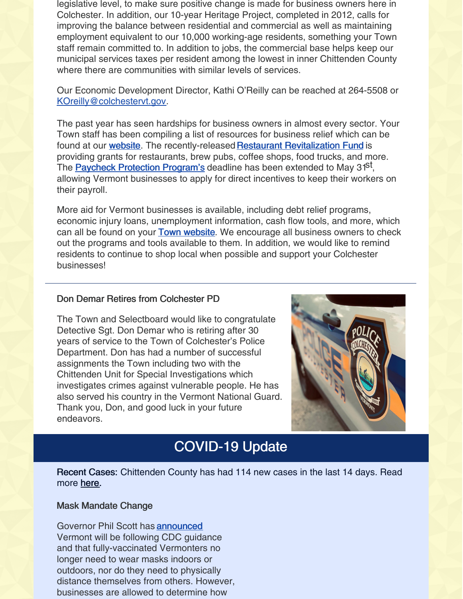legislative level, to make sure positive change is made for business owners here in Colchester. In addition, our 10-year Heritage Project, completed in 2012, calls for improving the balance between residential and commercial as well as maintaining employment equivalent to our 10,000 working-age residents, something your Town staff remain committed to. In addition to jobs, the commercial base helps keep our municipal services taxes per resident among the lowest in inner Chittenden County where there are communities with similar levels of services.

Our Economic Development Director, Kathi O'Reilly can be reached at 264-5508 or [KOreilly@colchestervt.gov](mailto:KOreilly@colchestervt.gov).

The past year has seen hardships for business owners in almost every sector. Your Town staff has been compiling a list of resources for business relief which can be found at our **[website](https://colchestervt.gov/3193/COVID-19Town-Services)**. The recently-released Restaurant [Revitalization](https://www.sba.gov/funding-programs/loans/covid-19-relief-options/restaurant-revitalization-fund) Fund is providing grants for restaurants, brew pubs, coffee shops, food trucks, and more. The **Paycheck [Protection](https://www.sba.gov/funding-programs/loans/covid-19-relief-options/paycheck-protection-program) Program's** deadline has been extended to May 31<sup>st</sup>, allowing Vermont businesses to apply for direct incentives to keep their workers on their payroll.

More aid for Vermont businesses is available, including debt relief programs, economic injury loans, unemployment information, cash flow tools, and more, which can all be found on your **Town [website](https://colchestervt.gov/3193/COVID-19Town-Services)**. We encourage all business owners to check out the programs and tools available to them. In addition, we would like to remind residents to continue to shop local when possible and support your Colchester businesses!

#### Don Demar Retires from Colchester PD

The Town and Selectboard would like to congratulate Detective Sgt. Don Demar who is retiring after 30 years of service to the Town of Colchester's Police Department. Don has had a number of successful assignments the Town including two with the Chittenden Unit for Special Investigations which investigates crimes against vulnerable people. He has also served his country in the Vermont National Guard. Thank you, Don, and good luck in your future endeavors.



## COVID-19 Update

Recent Cases: Chittenden County has had 114 new cases in the last 14 days. Read more [here](https://www.healthvermont.gov/covid-19/current-activity/vermont-dashboard).

#### Mask Mandate Change

Governor Phil Scott has [announced](https://governor.vermont.gov/press-release/governor-phil-scott-lifts-mask-mandate-vaccinated-individuals-accelerates-vermont) Vermont will be following CDC guidance and that fully-vaccinated Vermonters no longer need to wear masks indoors or outdoors, nor do they need to physically distance themselves from others. However, businesses are allowed to determine how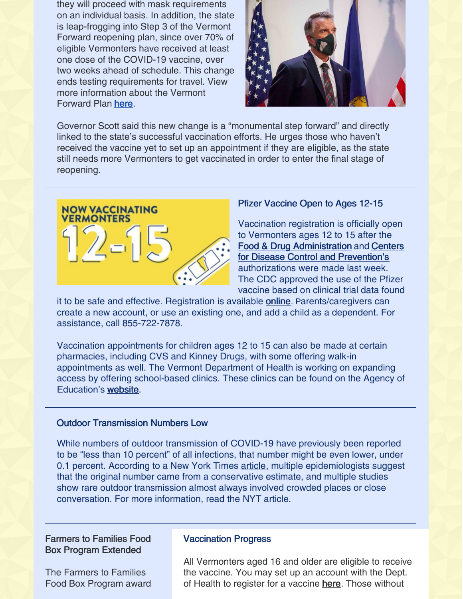they will proceed with mask requirements on an individual basis. In addition, the state is leap-frogging into Step 3 of the Vermont Forward reopening plan, since over 70% of eligible Vermonters have received at least one dose of the COVID-19 vaccine, over two weeks ahead of schedule. This change ends testing requirements for travel. View more information about the Vermont Forward Plan [here](https://www.vermont.gov/vermont-forward#gsc.tab=0).



Governor Scott said this new change is a "monumental step forward" and directly linked to the state's successful vaccination efforts. He urges those who haven't received the vaccine yet to set up an appointment if they are eligible, as the state still needs more Vermonters to get vaccinated in order to enter the final stage of reopening.



#### Pfizer Vaccine Open to Ages 12-15

Vaccination registration is officially open to Vermonters ages 12 to 15 after the Food & Drug [Administration](https://www.cdc.gov/media/releases/2021/s0512-advisory-committee-signing.html) and Centers for Disease Control and Prevention's authorizations were made last week. The CDC approved the use of the Pfizer vaccine based on clinical trial data found

it to be safe and effective. Registration is available **[online](https://healthvermont.gov/MyVaccine)**. Parents/caregivers can create a new account, or use an existing one, and add a child as a dependent. For assistance, call 855-722-7878.

Vaccination appointments for children ages 12 to 15 can also be made at certain pharmacies, including CVS and Kinney Drugs, with some offering walk-in appointments as well. The Vermont Department of Health is working on expanding access by offering school-based clinics. These clinics can be found on the Agency of Education's [website](https://education.vermont.gov/documents/list-of-school-and-community-based-clinics-open-to-12-15-year-olds-5-12-21).

#### Outdoor Transmission Numbers Low

While numbers of outdoor transmission of COVID-19 have previously been reported to be "less than 10 percent" of all infections, that number might be even lower, under 0.1 percent. According to a New York Times [article](https://www.nytimes.com/2021/05/11/briefing/outdoor-covid-transmission-cdc-number.html), multiple epidemiologists suggest that the original number came from a conservative estimate, and multiple studies show rare outdoor transmission almost always involved crowded places or close conversation. For more information, read the NYT [article](https://www.nytimes.com/2021/05/11/briefing/outdoor-covid-transmission-cdc-number.html).

#### Farmers to Families Food Box Program Extended

The Farmers to Families Food Box Program award

#### Vaccination Progress

All Vermonters aged 16 and older are eligible to receive the vaccine. You may set up an account with the Dept. of Health to register for a vaccine [here](https://vermont.force.com/events/s/selfregistration). Those without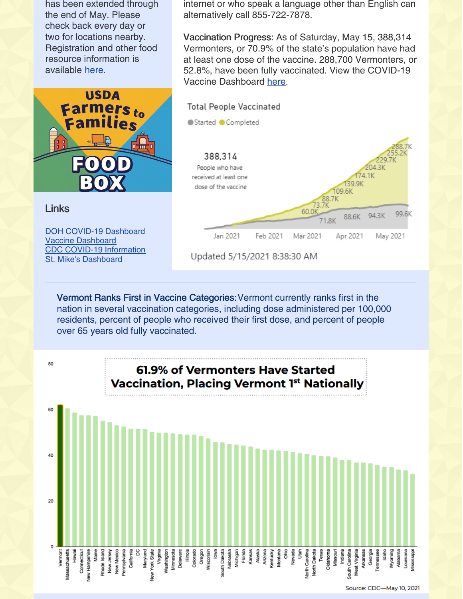has been extended through the end of May. Please check back every day or two for locations nearby. Registration and other food resource information is available [here](https://humanresources.vermont.gov/food-help).



Links

DOH COVID-19 [Dashboard](https://www.healthvermont.gov/covid-19/current-activity/vermont-dashboard) Vaccine [Dashboard](https://www.healthvermont.gov/covid-19/vaccine/covid-19-vaccine-dashboard) CDC COVID-19 [Information](https://www.cdc.gov/coronavirus/2019-nCoV/index.html) St. Mike's [Dashboard](https://www.smcvt.edu/return-to-campus/covid-dashboard/)

internet or who speak a language other than English can alternatively call 855-722-7878.

Vaccination Progress: As of Saturday, May 15, 388,314 Vermonters, or 70.9% of the state's population have had at least one dose of the vaccine. 288,700 Vermonters, or 52.8%, have been fully vaccinated. View the COVID-19 Vaccine Dashboard [here](https://www.healthvermont.gov/covid-19/vaccine/covid-19-vaccine-dashboard).



Vermont Ranks First in Vaccine Categories:Vermont currently ranks first in the nation in several vaccination categories, including dose administered per 100,000 residents, percent of people who received their first dose, and percent of people over 65 years old fully vaccinated.



Source: CDC-May 10, 2021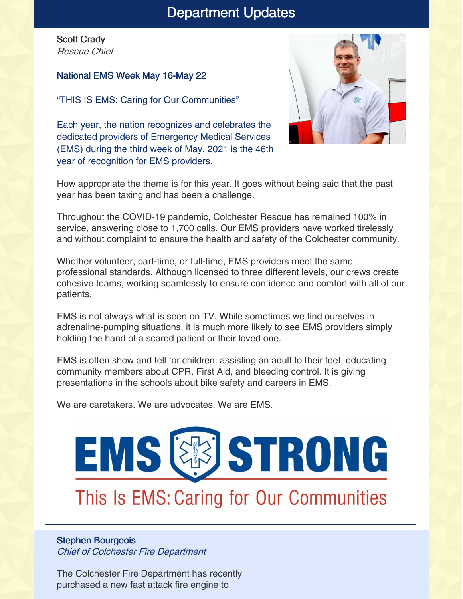## Department Updates

Scott Crady Rescue Chief

#### National EMS Week May 16-May 22

"THIS IS EMS: Caring for Our Communities"

Each year, the nation recognizes and celebrates the dedicated providers of Emergency Medical Services (EMS) during the third week of May. 2021 is the 46th year of recognition for EMS providers.



How appropriate the theme is for this year. It goes without being said that the past year has been taxing and has been a challenge.

Throughout the COVID-19 pandemic, Colchester Rescue has remained 100% in service, answering close to 1,700 calls. Our EMS providers have worked tirelessly and without complaint to ensure the health and safety of the Colchester community.

Whether volunteer, part-time, or full-time, EMS providers meet the same professional standards. Although licensed to three different levels, our crews create cohesive teams, working seamlessly to ensure confidence and comfort with all of our patients.

EMS is not always what is seen on TV. While sometimes we find ourselves in adrenaline-pumping situations, it is much more likely to see EMS providers simply holding the hand of a scared patient or their loved one.

EMS is often show and tell for children: assisting an adult to their feet, educating community members about CPR, First Aid, and bleeding control. It is giving presentations in the schools about bike safety and careers in EMS.

We are caretakers. We are advocates. We are EMS.

# EMS & STRONG

## This Is EMS: Caring for Our Communities

#### Stephen Bourgeois Chief of Colchester Fire Department

The Colchester Fire Department has recently purchased a new fast attack fire engine to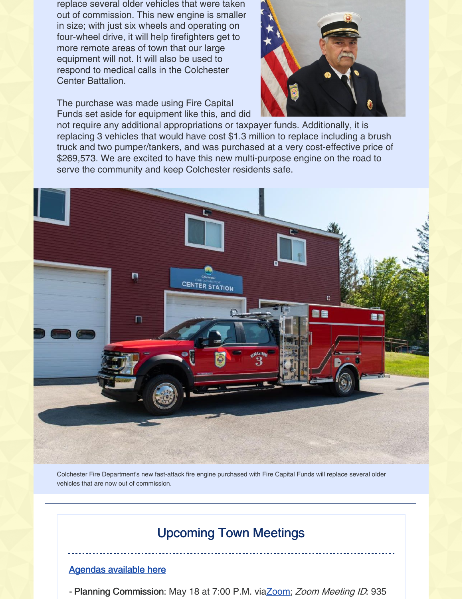replace several older vehicles that were taken out of commission. This new engine is smaller in size; with just six wheels and operating on four-wheel drive, it will help firefighters get to more remote areas of town that our large equipment will not. It will also be used to respond to medical calls in the Colchester Center Battalion.

The purchase was made using Fire Capital Funds set aside for equipment like this, and did



not require any additional appropriations or taxpayer funds. Additionally, it is replacing 3 vehicles that would have cost \$1.3 million to replace including a brush truck and two pumper/tankers, and was purchased at a very cost-effective price of \$269,573. We are excited to have this new multi-purpose engine on the road to serve the community and keep Colchester residents safe.



Colchester Fire Department's new fast-attack fire engine purchased with Fire Capital Funds will replace several older vehicles that are now out of commission.

## Upcoming Town Meetings

#### [Agendas](https://clerkshq.com/Colchester-vt) available here

- Planning Commission: May 18 at 7:00 P.M. vi[aZoom](https://zoom.us/j/9359846003); Zoom Meeting ID. 935